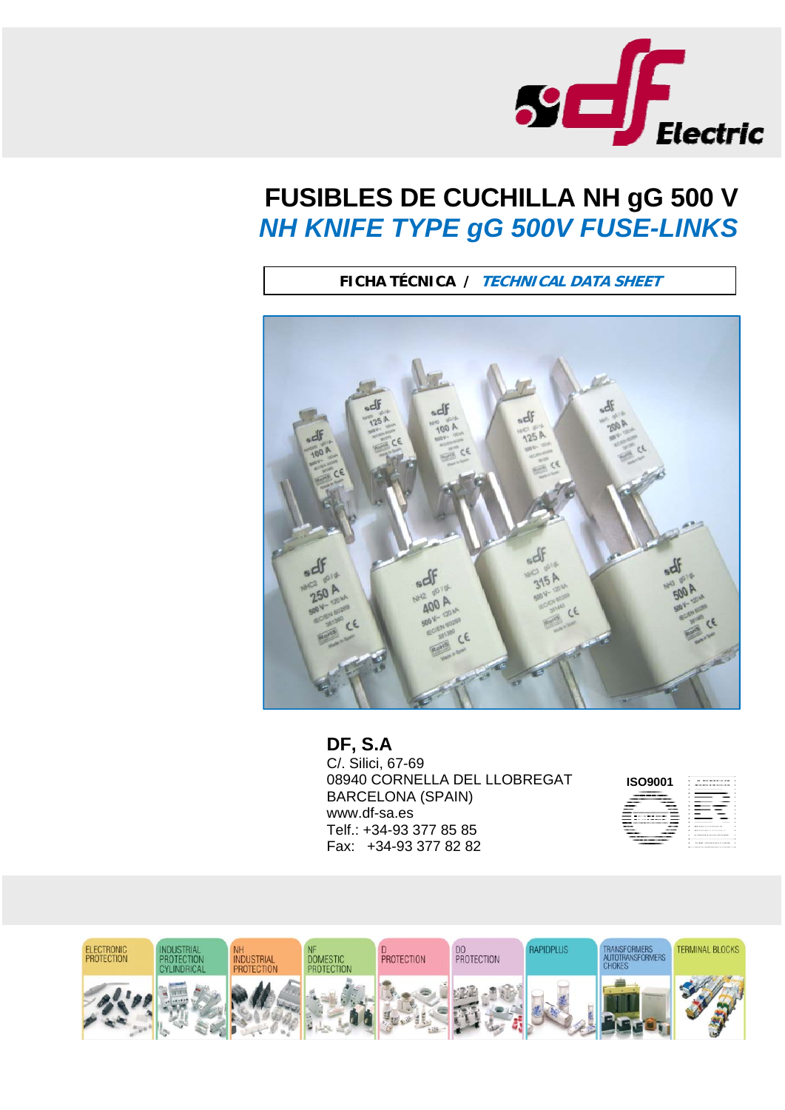

## **FUSIBLES DE CUCHILLA NH gG 500 V**  *NH KNIFE TYPE gG 500V FUSE-LINKS*

**FICHA TÉCNICA / TECHNICAL DATA SHEET**



## **DF, S.A**

C/. Silici, 67-69 08940 CORNELLA DEL LLOBREGAT BARCELONA (SPAIN) www.df-sa.es Telf.: +34-93 377 85 85 Fax: +34-93 377 82 82



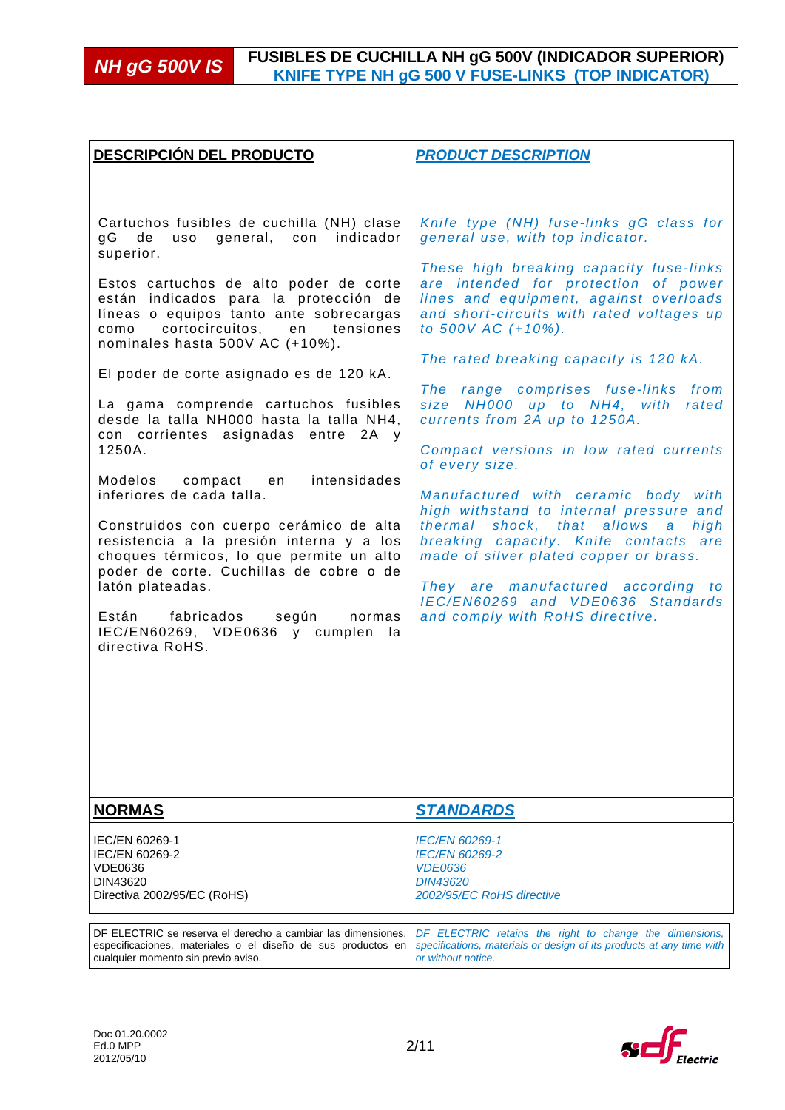| <b>DESCRIPCIÓN DEL PRODUCTO</b>                                                                                                                                                                                                                                                                                                                                                                                                                                                                                                                                                                                                                                                                                                                                                                                                                                          | <b>PRODUCT DESCRIPTION</b>                                                                                                                                                                                                                                                                                                                                                                                                                                                                                                                                                                                                                                                                                                                                                                                                                |
|--------------------------------------------------------------------------------------------------------------------------------------------------------------------------------------------------------------------------------------------------------------------------------------------------------------------------------------------------------------------------------------------------------------------------------------------------------------------------------------------------------------------------------------------------------------------------------------------------------------------------------------------------------------------------------------------------------------------------------------------------------------------------------------------------------------------------------------------------------------------------|-------------------------------------------------------------------------------------------------------------------------------------------------------------------------------------------------------------------------------------------------------------------------------------------------------------------------------------------------------------------------------------------------------------------------------------------------------------------------------------------------------------------------------------------------------------------------------------------------------------------------------------------------------------------------------------------------------------------------------------------------------------------------------------------------------------------------------------------|
| Cartuchos fusibles de cuchilla (NH) clase<br>indicador<br>gG<br>de<br>uso<br>general, con<br>superior.<br>Estos cartuchos de alto poder de corte<br>están indicados para la protección de<br>líneas o equipos tanto ante sobrecargas<br>cortocircuitos, en tensiones<br>como<br>nominales hasta 500V AC (+10%).<br>El poder de corte asignado es de 120 kA.<br>La gama comprende cartuchos fusibles<br>desde la talla NH000 hasta la talla NH4,<br>con corrientes asignadas entre 2A y<br>1250A.<br>intensidades<br>Modelos compact en<br>inferiores de cada talla.<br>Construidos con cuerpo cerámico de alta<br>resistencia a la presión interna y a los<br>choques térmicos, lo que permite un alto<br>poder de corte. Cuchillas de cobre o de<br>latón plateadas.<br>Están fabricados<br>según<br>normas<br>IEC/EN60269, VDE0636 y cumplen<br>-la<br>directiva RoHS. | Knife type (NH) fuse-links gG class for<br>general use, with top indicator.<br>These high breaking capacity fuse-links<br>are intended for protection of power<br>lines and equipment, against overloads<br>and short-circuits with rated voltages up<br>to 500V AC (+10%).<br>The rated breaking capacity is 120 kA.<br>The range comprises fuse-links from<br>size NH000 up to NH4, with<br>rated<br>currents from 2A up to 1250A.<br>Compact versions in low rated currents<br>of every size.<br>Manufactured with ceramic body with<br>high withstand to internal pressure and<br>thermal shock, that allows<br>high<br>$\mathbf{a}$<br>breaking capacity. Knife contacts are<br>made of silver plated copper or brass.<br>They are manufactured according to<br>IEC/EN60269 and VDE0636 Standards<br>and comply with RoHS directive. |
| <b>NORMAS</b>                                                                                                                                                                                                                                                                                                                                                                                                                                                                                                                                                                                                                                                                                                                                                                                                                                                            | <b>STANDARDS</b>                                                                                                                                                                                                                                                                                                                                                                                                                                                                                                                                                                                                                                                                                                                                                                                                                          |
| IEC/EN 60269-1<br>IEC/EN 60269-2<br>VDE0636<br>DIN43620<br>Directiva 2002/95/EC (RoHS)                                                                                                                                                                                                                                                                                                                                                                                                                                                                                                                                                                                                                                                                                                                                                                                   | <i>IEC/EN 60269-1</i><br><b>IEC/EN 60269-2</b><br><b>VDE0636</b><br><i>DIN43620</i><br>2002/95/EC RoHS directive                                                                                                                                                                                                                                                                                                                                                                                                                                                                                                                                                                                                                                                                                                                          |
| DF ELECTRIC se reserva el derecho a cambiar las dimensiones.<br>especificaciones, materiales o el diseño de sus productos en<br>cualquier momento sin previo aviso.                                                                                                                                                                                                                                                                                                                                                                                                                                                                                                                                                                                                                                                                                                      | DF ELECTRIC retains the right to change the dimensions,<br>specifications, materials or design of its products at any time with<br>or without notice.                                                                                                                                                                                                                                                                                                                                                                                                                                                                                                                                                                                                                                                                                     |

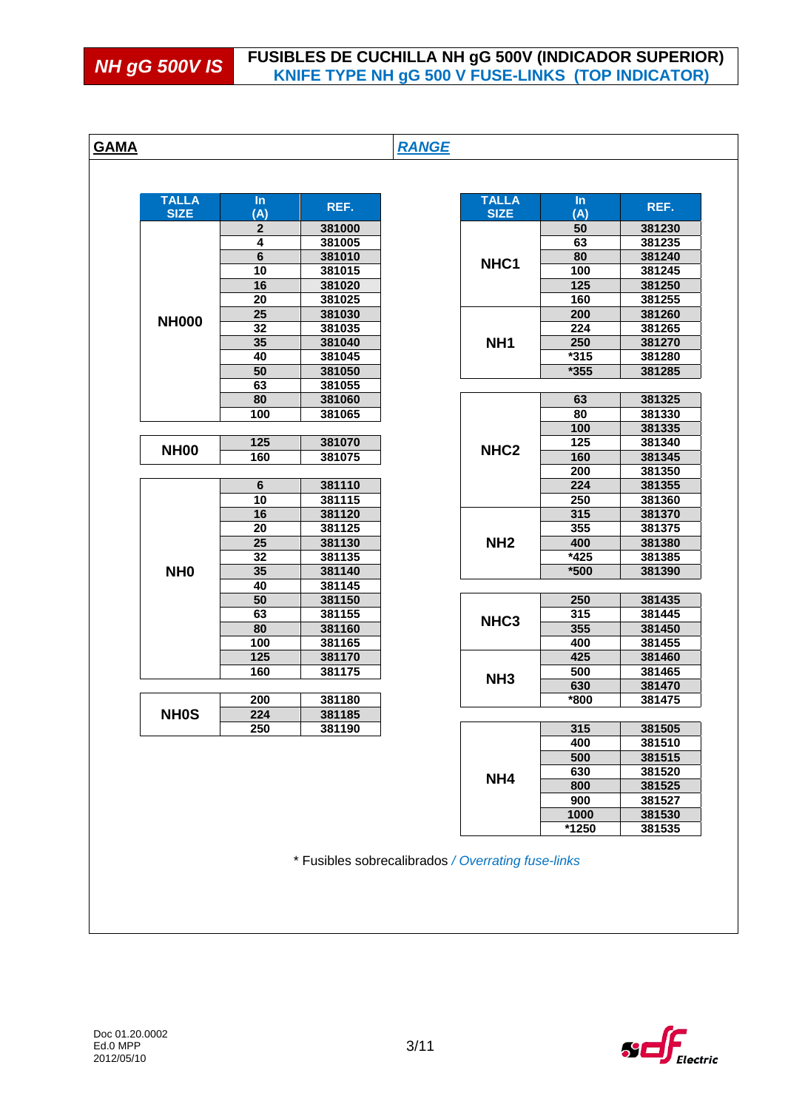|                 | $\ln$                 | REF.             | <b>TALLA</b>     | $\ln$      | REF.             |
|-----------------|-----------------------|------------------|------------------|------------|------------------|
| <b>SIZE</b>     | (A)                   |                  | <b>SIZE</b>      | (A)        |                  |
|                 | $\boldsymbol{2}$      | 381000           |                  | 50         | 381230           |
|                 | 4                     | 381005           |                  | 63         | 381235           |
|                 | 6                     | 381010           | NHC1             | 80         | 381240           |
|                 | $\overline{10}$       | 381015           |                  | 100<br>125 | 381245           |
|                 | 16<br>$\overline{20}$ | 381020<br>381025 |                  | 160        | 381250<br>381255 |
|                 | 25                    | 381030           |                  | 200        | 381260           |
| <b>NH000</b>    | 32                    | 381035           |                  | 224        | 381265           |
|                 | 35                    | 381040           | NH <sub>1</sub>  | 250        | 381270           |
|                 | 40                    | 381045           |                  | $*315$     | 381280           |
|                 | 50                    | 381050           |                  | $*355$     | 381285           |
|                 | 63                    | 381055           |                  |            |                  |
|                 | 80                    | 381060           |                  | 63         | 381325           |
|                 | 100                   | 381065           |                  | 80         | 381330           |
|                 |                       |                  |                  | 100        | 381335           |
|                 | $\overline{125}$      | 381070           |                  | 125        | 381340           |
| <b>NH00</b>     | 160                   | 381075           | NHC <sub>2</sub> | 160        | 381345           |
|                 |                       |                  |                  | 200        | 381350           |
|                 | $\bf 6$               | 381110           |                  | 224        | 381355           |
|                 | 10                    | 381115           |                  | 250        | 381360           |
|                 | 16                    | 381120           |                  | 315        | 381370           |
|                 | 20                    | 381125           |                  | 355        | 381375           |
|                 | 25                    | 381130           | NH <sub>2</sub>  | 400        | 381380           |
|                 | 32                    | 381135           |                  | *425       | 381385           |
| NH <sub>0</sub> | $\overline{35}$       | 381140           |                  | $*500$     | 381390           |
|                 | 40                    | 381145           |                  |            |                  |
|                 | 50                    | 381150           |                  | 250        | 381435           |
|                 | 63                    | 381155           | NHC <sub>3</sub> | 315        | 381445           |
|                 | 80                    | 381160           |                  | 355        | 381450           |
|                 | 100<br>125            | 381165           |                  | 400<br>425 | 381455<br>381460 |
|                 | 160                   | 381170<br>381175 |                  | 500        | 381465           |
|                 |                       |                  | NH <sub>3</sub>  | 630        | 381470           |
|                 | 200                   | 381180           |                  | *800       | 381475           |
| <b>NH0S</b>     | 224                   | 381185           |                  |            |                  |
|                 | 250                   | 381190           |                  | 315        | 381505           |
|                 |                       |                  |                  | 400        | 381510           |
|                 |                       |                  |                  | 500        | 381515           |
|                 |                       |                  | NH <sub>4</sub>  | 630        | 381520           |
|                 |                       |                  |                  | 800        | 381525           |
|                 |                       |                  |                  | 900        | 381527           |
|                 |                       |                  |                  | 1000       | 381530           |
|                 |                       |                  |                  | *1250      | 381535           |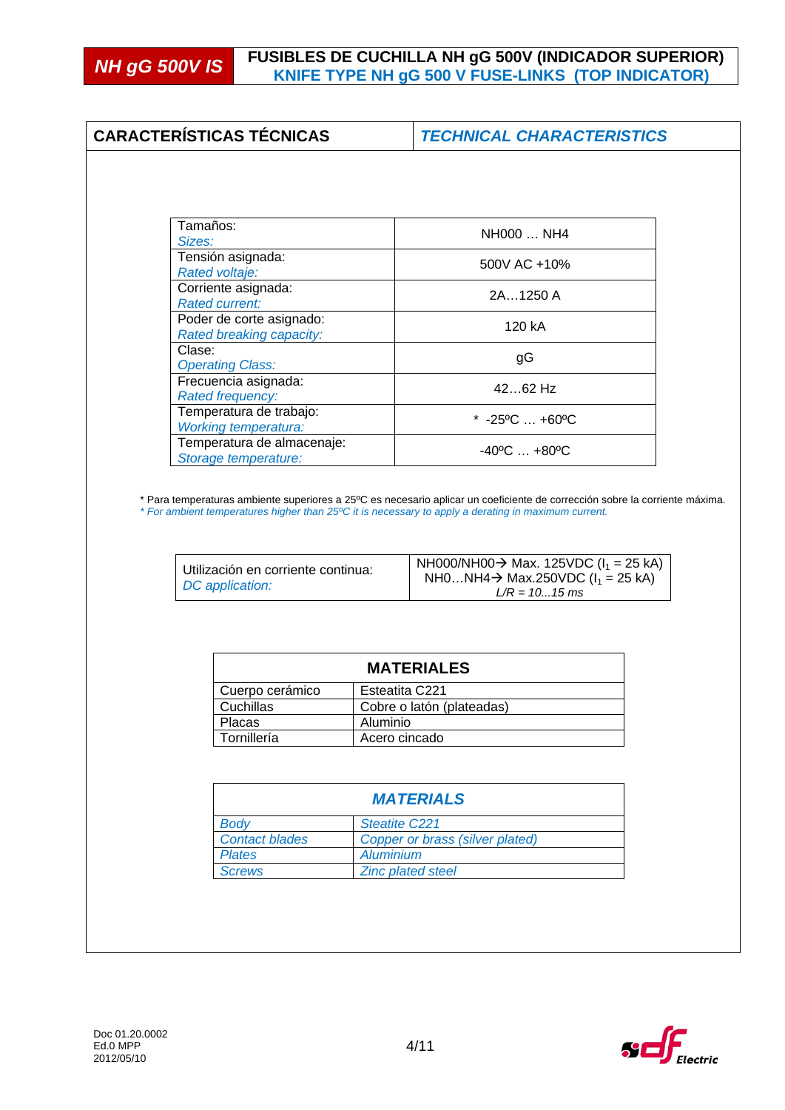# **NH gG 500V IS** FUSIBLES DE CUCHILLA NH gG 500V (INDICADOR SUPERIOR)<br>KNIFE TYPE NH gG 500 V FUSE-LINKS (TOP INDICATOR)

| <b>CARACTERÍSTICAS TÉCNICAS</b>                        |                      | <b>TECHNICAL CHARACTERISTICS</b>                                                                                                                                                                                                                                               |
|--------------------------------------------------------|----------------------|--------------------------------------------------------------------------------------------------------------------------------------------------------------------------------------------------------------------------------------------------------------------------------|
|                                                        |                      |                                                                                                                                                                                                                                                                                |
| Tamaños:                                               |                      | NH000  NH4                                                                                                                                                                                                                                                                     |
| Sizes:                                                 |                      |                                                                                                                                                                                                                                                                                |
| Tensión asignada:<br>Rated voltaje:                    |                      | 500V AC +10%                                                                                                                                                                                                                                                                   |
| Corriente asignada:<br><b>Rated current:</b>           |                      | 2A1250 A                                                                                                                                                                                                                                                                       |
| Poder de corte asignado:<br>Rated breaking capacity:   |                      | 120 kA                                                                                                                                                                                                                                                                         |
| Clase:<br><b>Operating Class:</b>                      |                      | gG                                                                                                                                                                                                                                                                             |
| Frecuencia asignada:<br><b>Rated frequency:</b>        |                      | 4262 Hz                                                                                                                                                                                                                                                                        |
| Temperatura de trabajo:<br><b>Working temperatura:</b> |                      | * $-25^{\circ}$ C $+60^{\circ}$ C                                                                                                                                                                                                                                              |
|                                                        |                      | $-40^{\circ}$ C $+80^{\circ}$ C                                                                                                                                                                                                                                                |
| Temperatura de almacenaje:<br>Storage temperature:     |                      | * Para temperaturas ambiente superiores a 25ºC es necesario aplicar un coeficiente de corrección sobre la corriente máxima.<br>* For ambient temperatures higher than 25°C it is necessary to apply a derating in maximum current.<br>NH000/NH00→ Max. 125VDC ( $I_1 = 25$ kA) |
| Utilización en corriente continua:<br>DC application:  |                      | NH0NH4→ Max.250VDC ( $I_1$ = 25 kA)<br>$L/R = 1015$ ms                                                                                                                                                                                                                         |
|                                                        |                      | <b>MATERIALES</b>                                                                                                                                                                                                                                                              |
|                                                        |                      |                                                                                                                                                                                                                                                                                |
| Cuerpo cerámico                                        | Esteatita C221       |                                                                                                                                                                                                                                                                                |
| Cuchillas<br>Placas                                    | Aluminio             | Cobre o latón (plateadas)                                                                                                                                                                                                                                                      |
| Tornillería                                            | Acero cincado        |                                                                                                                                                                                                                                                                                |
|                                                        |                      |                                                                                                                                                                                                                                                                                |
|                                                        |                      | <b>MATERIALS</b>                                                                                                                                                                                                                                                               |
| <b>Body</b>                                            | <b>Steatite C221</b> |                                                                                                                                                                                                                                                                                |
| <b>Contact blades</b>                                  |                      | Copper or brass (silver plated)                                                                                                                                                                                                                                                |
| <b>Plates</b><br><b>Screws</b>                         | <b>Aluminium</b>     | <b>Zinc plated steel</b>                                                                                                                                                                                                                                                       |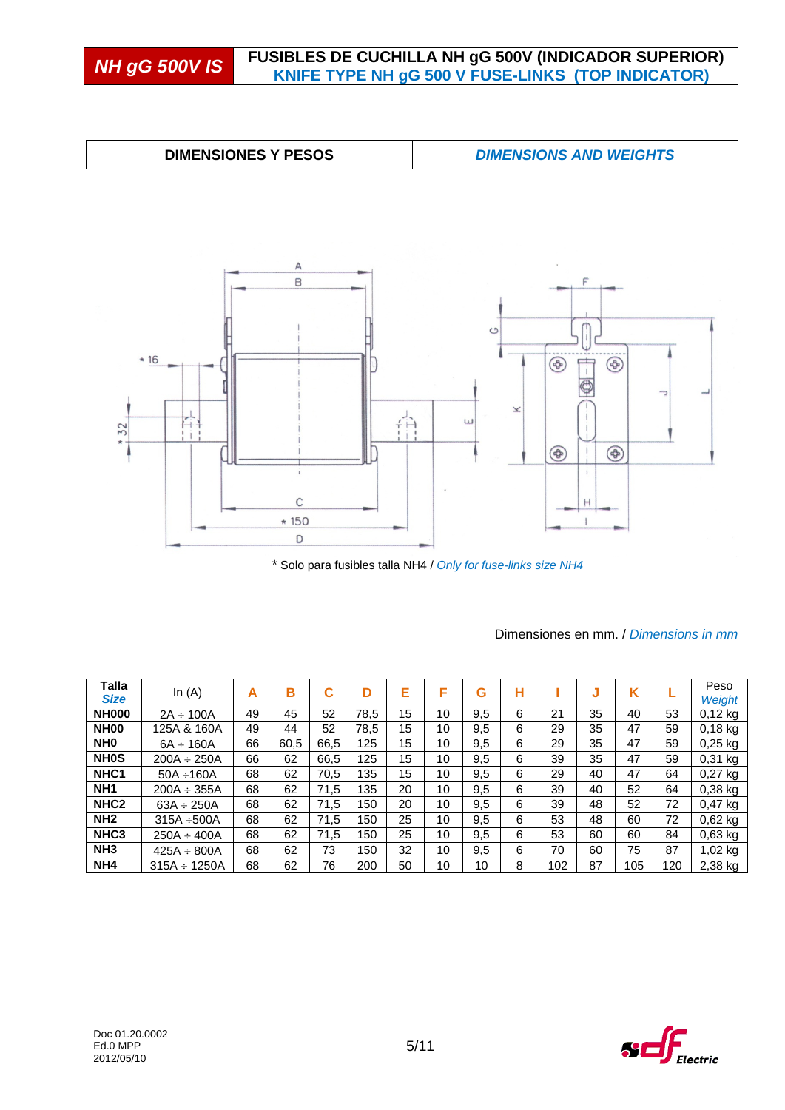## **NH gG 500V IS** FUSIBLES DE CUCHILLA NH gG 500V (INDICADOR SUPERIOR)<br>KNIFE TYPE NH gG 500 V FUSE-LINKS (TOP INDICATOR)





\* Solo para fusibles talla NH4 / *Only for fuse-links size NH4* 

| Talla<br><b>Size</b> | In $(A)$          | А  | в    | С    | D    | Е  | F  | G   | н |     | J  | Κ   |     | Peso<br>Weight |
|----------------------|-------------------|----|------|------|------|----|----|-----|---|-----|----|-----|-----|----------------|
| <b>NH000</b>         | $2A \div 100A$    | 49 | 45   | 52   | 78.5 | 15 | 10 | 9.5 | 6 | 21  | 35 | 40  | 53  | $0.12$ kg      |
| <b>NH00</b>          | 125A & 160A       | 49 | 44   | 52   | 78,5 | 15 | 10 | 9.5 | 6 | 29  | 35 | 47  | 59  | $0.18$ kg      |
| NH <sub>0</sub>      | $6A \div 160A$    | 66 | 60,5 | 66,5 | 125  | 15 | 10 | 9,5 | 6 | 29  | 35 | 47  | 59  | $0,25$ kg      |
| <b>NHOS</b>          | $200A \div 250A$  | 66 | 62   | 66.5 | 125  | 15 | 10 | 9,5 | 6 | 39  | 35 | 47  | 59  | $0.31$ kg      |
| NHC <sub>1</sub>     | $50A \div 160A$   | 68 | 62   | 70,5 | 135  | 15 | 10 | 9.5 | 6 | 29  | 40 | 47  | 64  | $0.27$ kg      |
| NH <sub>1</sub>      | $200A \div 355A$  | 68 | 62   | 71,5 | 135  | 20 | 10 | 9.5 | 6 | 39  | 40 | 52  | 64  | $0.38$ kg      |
| NHC <sub>2</sub>     | $63A \div 250A$   | 68 | 62   | 71,5 | 150  | 20 | 10 | 9.5 | 6 | 39  | 48 | 52  | 72  | $0.47$ kg      |
| NH <sub>2</sub>      | $315A + 500A$     | 68 | 62   | 71.5 | 150  | 25 | 10 | 9.5 | 6 | 53  | 48 | 60  | 72  | $0,62$ kg      |
| NHC <sub>3</sub>     | $250A \div 400A$  | 68 | 62   | 71.5 | 150  | 25 | 10 | 9.5 | 6 | 53  | 60 | 60  | 84  | $0.63$ kg      |
| NH <sub>3</sub>      | $425A \div 800A$  | 68 | 62   | 73   | 150  | 32 | 10 | 9.5 | 6 | 70  | 60 | 75  | 87  | $1,02$ kg      |
| NH <sub>4</sub>      | $315A \div 1250A$ | 68 | 62   | 76   | 200  | 50 | 10 | 10  | 8 | 102 | 87 | 105 | 120 | 2,38 kg        |

#### Dimensiones en mm. / *Dimensions in mm*

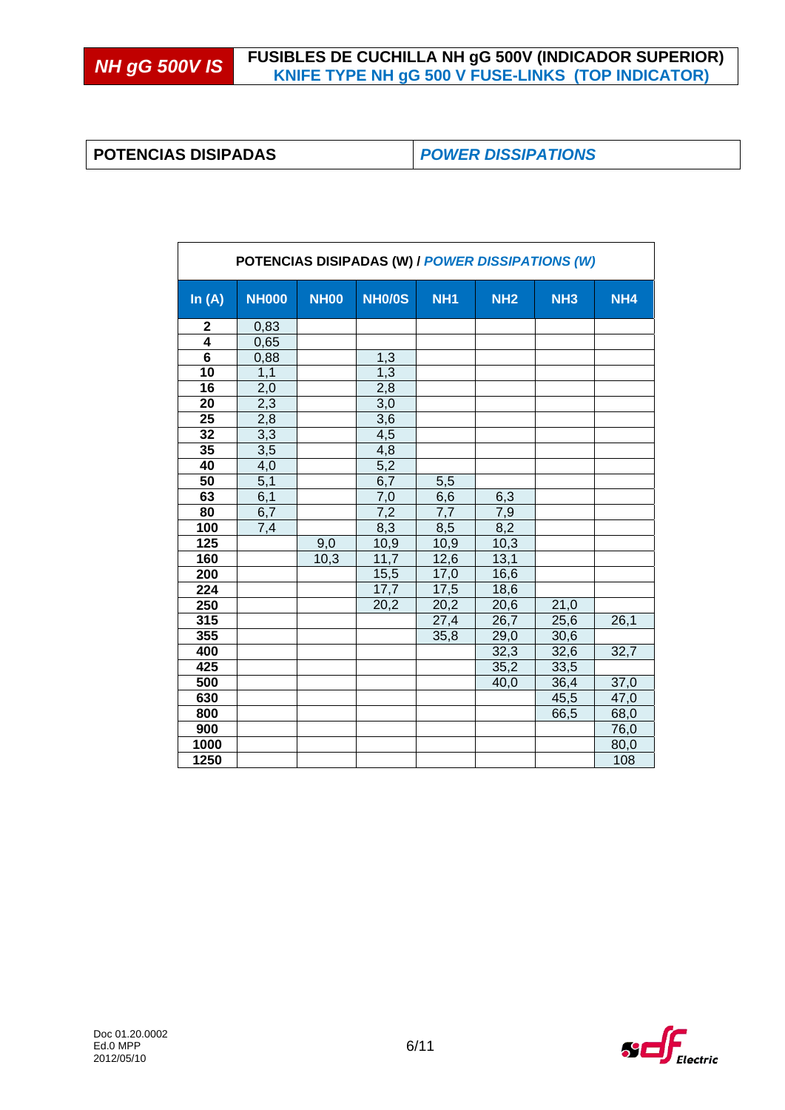### **POTENCIAS DISIPADAS** *POWER DISSIPATIONS*

| POTENCIAS DISIPADAS (W) / POWER DISSIPATIONS (W) |                  |             |               |                 |            |            |                 |
|--------------------------------------------------|------------------|-------------|---------------|-----------------|------------|------------|-----------------|
| In $(A)$                                         | <b>NH000</b>     | <b>NH00</b> | <b>NH0/0S</b> | NH <sub>1</sub> | <b>NH2</b> | <b>NH3</b> | NH <sub>4</sub> |
| 2                                                | 0,83             |             |               |                 |            |            |                 |
| $\overline{4}$                                   | 0,65             |             |               |                 |            |            |                 |
| $\overline{6}$                                   | 0,88             |             | 1,3           |                 |            |            |                 |
| 10                                               | 1,1              |             | 1,3           |                 |            |            |                 |
| 16                                               | 2,0              |             | 2,8           |                 |            |            |                 |
| 20                                               | 2,3              |             | 3,0           |                 |            |            |                 |
| 25                                               | 2,8              |             | 3,6           |                 |            |            |                 |
| 32                                               | 3,3              |             | 4,5           |                 |            |            |                 |
| 35                                               | $\overline{3,5}$ |             | 4,8           |                 |            |            |                 |
| 40                                               | 4,0              |             | 5,2           |                 |            |            |                 |
| 50                                               | 5,1              |             | 6,7           | 5,5             |            |            |                 |
| 63                                               | 6,1              |             | 7,0           | 6,6             | 6,3        |            |                 |
| 80                                               | 6,7              |             | 7,2           | 7,7             | 7,9        |            |                 |
| 100                                              | 7,4              |             | 8,3           | 8,5             | 8,2        |            |                 |
| 125                                              |                  | 9,0         | 10,9          | 10,9            | 10,3       |            |                 |
| 160                                              |                  | 10,3        | 11,7          | 12,6            | 13,1       |            |                 |
| 200                                              |                  |             | 15,5          | 17,0            | 16,6       |            |                 |
| 224                                              |                  |             | 17,7          | 17,5            | 18,6       |            |                 |
| 250                                              |                  |             | 20,2          | 20,2            | 20,6       | 21,0       |                 |
| 315                                              |                  |             |               | 27,4            | 26,7       | 25,6       | 26,1            |
| 355                                              |                  |             |               | 35,8            | 29,0       | 30,6       |                 |
| 400                                              |                  |             |               |                 | 32,3       | 32,6       | 32,7            |
| 425                                              |                  |             |               |                 | 35,2       | 33,5       |                 |
| 500                                              |                  |             |               |                 | 40,0       | 36,4       | 37,0            |
| 630                                              |                  |             |               |                 |            | 45,5       | 47,0            |
| 800                                              |                  |             |               |                 |            | 66,5       | 68,0            |
| 900                                              |                  |             |               |                 |            |            | 76,0            |
| 1000                                             |                  |             |               |                 |            |            | 80,0            |
| 1250                                             |                  |             |               |                 |            |            | 108             |

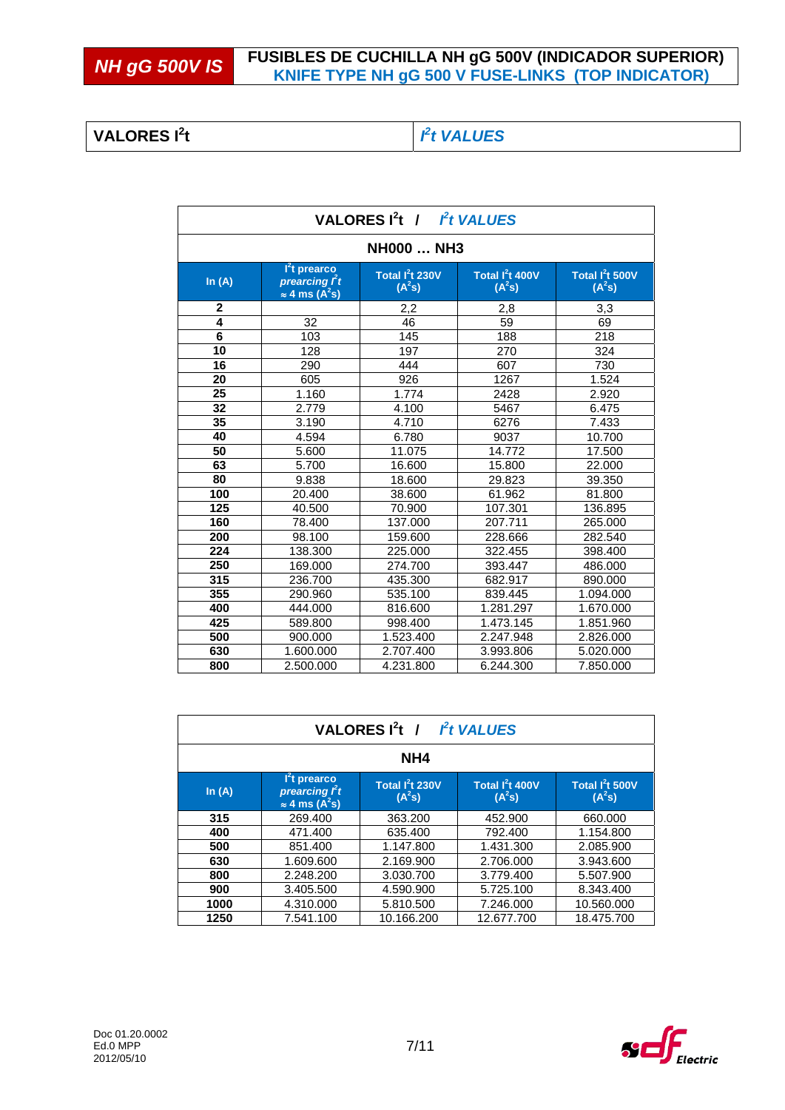**NH gG 500V IS** FUSIBLES DE CUCHILLA NH gG 500V (INDICADOR SUPERIOR)<br>KNIFE TYPE NH gG 500 V FUSE-LINKS (TOP INDICATOR)

#### **VALORES I<sup>2</sup> t** *I*

## *2 t VALUES*

| <b>VALORES I<sup>2</sup>t</b> /<br>Pt VALUES |                                                                               |                                |                                         |                                                   |  |  |  |  |  |
|----------------------------------------------|-------------------------------------------------------------------------------|--------------------------------|-----------------------------------------|---------------------------------------------------|--|--|--|--|--|
| <b>NH000  NH3</b>                            |                                                                               |                                |                                         |                                                   |  |  |  |  |  |
| In $(A)$                                     | I <sup>2</sup> t prearco<br>prearcing Pt<br>$\approx$ 4 ms (A <sup>2</sup> s) | Total $I^2$ t 230V<br>$(A^2s)$ | Total I <sup>2</sup> t 400V<br>$(A^2s)$ | Total I <sup>2</sup> t 500V<br>(A <sup>2</sup> s) |  |  |  |  |  |
| 2                                            |                                                                               | 2,2                            | 2,8                                     | 3,3                                               |  |  |  |  |  |
| 4                                            | 32                                                                            | 46                             | 59                                      | 69                                                |  |  |  |  |  |
| 6                                            | 103                                                                           | 145                            | 188                                     | 218                                               |  |  |  |  |  |
| 10                                           | 128                                                                           | 197                            | 270                                     | 324                                               |  |  |  |  |  |
| 16                                           | 290                                                                           | 444                            | 607                                     | 730                                               |  |  |  |  |  |
| 20                                           | 605                                                                           | 926                            | 1267                                    | 1.524                                             |  |  |  |  |  |
| 25                                           | 1.160                                                                         | 1.774                          | 2428                                    | 2.920                                             |  |  |  |  |  |
| 32                                           | 2.779                                                                         | 4.100                          | 5467                                    | 6.475                                             |  |  |  |  |  |
| 35                                           | 3.190                                                                         | 4.710                          | 6276                                    | 7.433                                             |  |  |  |  |  |
| 40                                           | 4.594                                                                         | 6.780                          | 9037                                    | 10.700                                            |  |  |  |  |  |
| 50                                           | 5.600                                                                         | 11.075                         | 14.772                                  | 17.500                                            |  |  |  |  |  |
| 63                                           | 5.700                                                                         | 16.600                         | 15.800                                  | 22,000                                            |  |  |  |  |  |
| 80                                           | 9.838                                                                         | 18.600                         | 29.823                                  | 39.350                                            |  |  |  |  |  |
| 100                                          | 20.400                                                                        | 38.600                         | 61.962                                  | 81.800                                            |  |  |  |  |  |
| 125                                          | 40.500                                                                        | 70.900                         | 107.301                                 | 136.895                                           |  |  |  |  |  |
| 160                                          | 78.400                                                                        | 137.000                        | 207.711                                 | 265.000                                           |  |  |  |  |  |
| 200                                          | 98.100                                                                        | 159.600                        | 228.666                                 | 282.540                                           |  |  |  |  |  |
| 224                                          | 138.300                                                                       | 225.000                        | 322.455                                 | 398.400                                           |  |  |  |  |  |
| 250                                          | 169.000                                                                       | 274.700                        | 393.447                                 | 486.000                                           |  |  |  |  |  |
| 315                                          | 236.700                                                                       | 435.300                        | 682.917                                 | 890.000                                           |  |  |  |  |  |
| 355                                          | 290.960                                                                       | 535.100                        | 839.445                                 | 1.094.000                                         |  |  |  |  |  |
| 400                                          | 444.000                                                                       | 816.600                        | 1.281.297                               | 1.670.000                                         |  |  |  |  |  |
| 425                                          | 589.800                                                                       | 998.400                        | 1.473.145                               | 1.851.960                                         |  |  |  |  |  |
| 500                                          | 900.000                                                                       | 1.523.400                      | 2.247.948                               | 2.826.000                                         |  |  |  |  |  |
| 630                                          | 1.600.000                                                                     | 2.707.400                      | 3.993.806                               | 5.020.000                                         |  |  |  |  |  |
| 800                                          | 2.500.000                                                                     | 4.231.800                      | 6.244.300                               | 7.850.000                                         |  |  |  |  |  |

| VALORES $I^2t$ /<br><b>Pt VALUES</b> |                                                                                 |                                          |                                         |                                |  |  |  |  |
|--------------------------------------|---------------------------------------------------------------------------------|------------------------------------------|-----------------------------------------|--------------------------------|--|--|--|--|
| NH4                                  |                                                                                 |                                          |                                         |                                |  |  |  |  |
| In $(A)$                             | I <sup>2</sup> t prearco<br>prearcing $ft$<br>$\approx$ 4 ms (A <sup>2</sup> s) | Total $I^2$ t 230V<br>(A <sup>2</sup> s) | Total I <sup>2</sup> t 400V<br>$(A^2s)$ | Total $I^2$ t 500V<br>$(A^2s)$ |  |  |  |  |
| 315                                  | 269.400                                                                         | 363.200                                  | 452.900                                 | 660,000                        |  |  |  |  |
| 400                                  | 471.400                                                                         | 635.400                                  | 792.400                                 | 1.154.800                      |  |  |  |  |
| 500                                  | 851.400                                                                         | 1.147.800                                | 1.431.300                               | 2.085.900                      |  |  |  |  |
| 630                                  | 1.609.600                                                                       | 2.169.900                                | 2.706.000                               | 3.943.600                      |  |  |  |  |
| 800                                  | 2.248.200                                                                       | 3.030.700                                | 3.779.400                               | 5.507.900                      |  |  |  |  |
| 900                                  | 3.405.500                                                                       | 4.590.900                                | 5.725.100                               | 8.343.400                      |  |  |  |  |
| 1000                                 | 4.310.000                                                                       | 5.810.500                                | 7.246.000                               | 10.560.000                     |  |  |  |  |
| 1250                                 | 7.541.100                                                                       | 10.166.200                               | 12.677.700                              | 18.475.700                     |  |  |  |  |

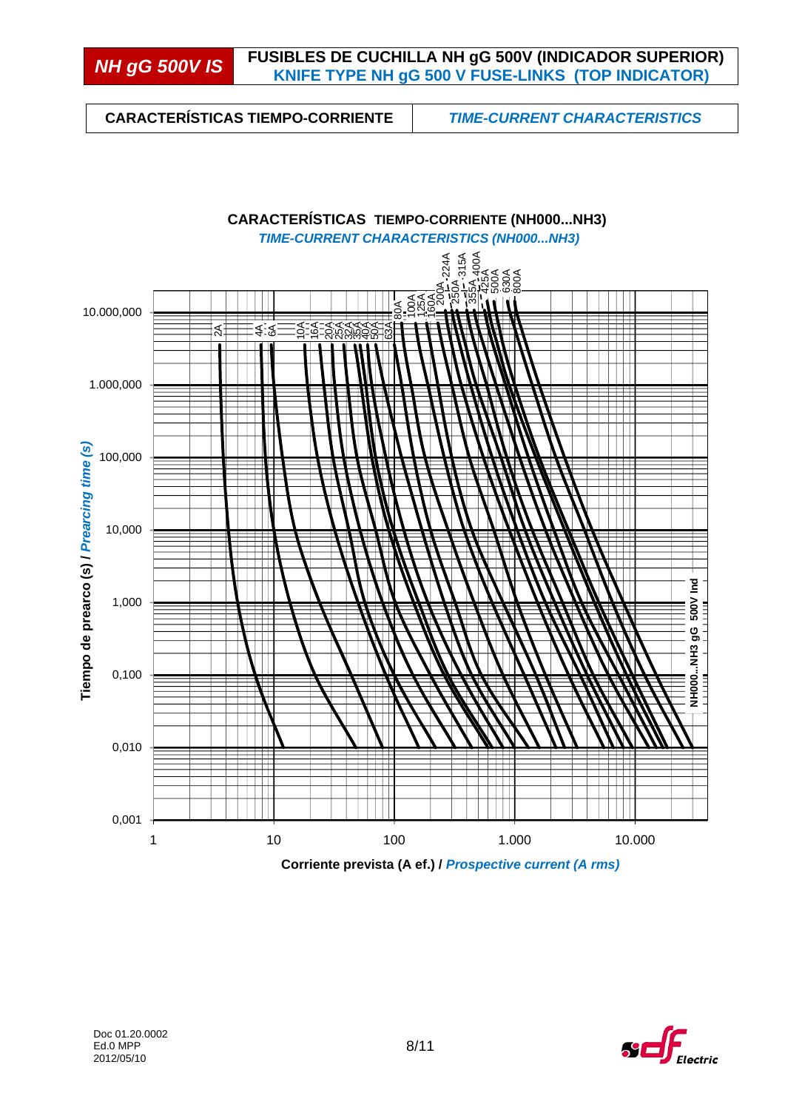**CARACTERÍSTICAS TIEMPO-CORRIENTE** *TIME-CURRENT CHARACTERISTICS* 



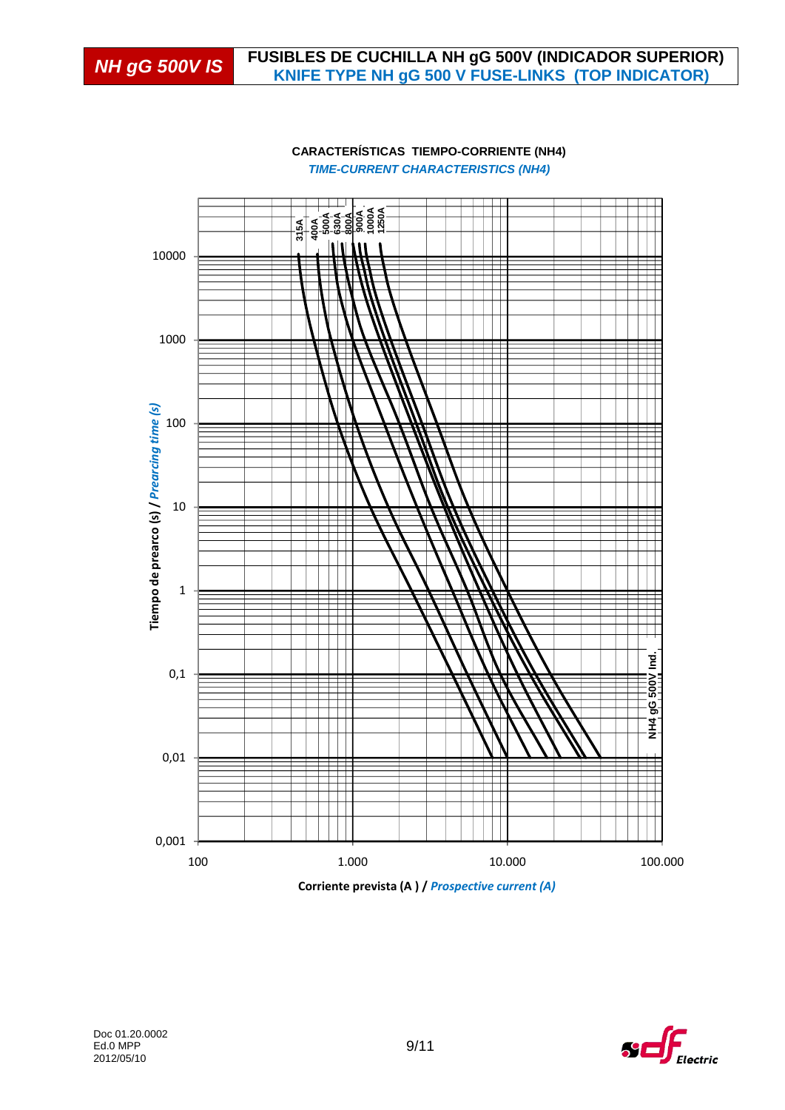

#### **CARACTERÍSTICAS TIEMPO-CORRIENTE (NH4)** *TIME-CURRENT CHARACTERISTICS (NH4)*

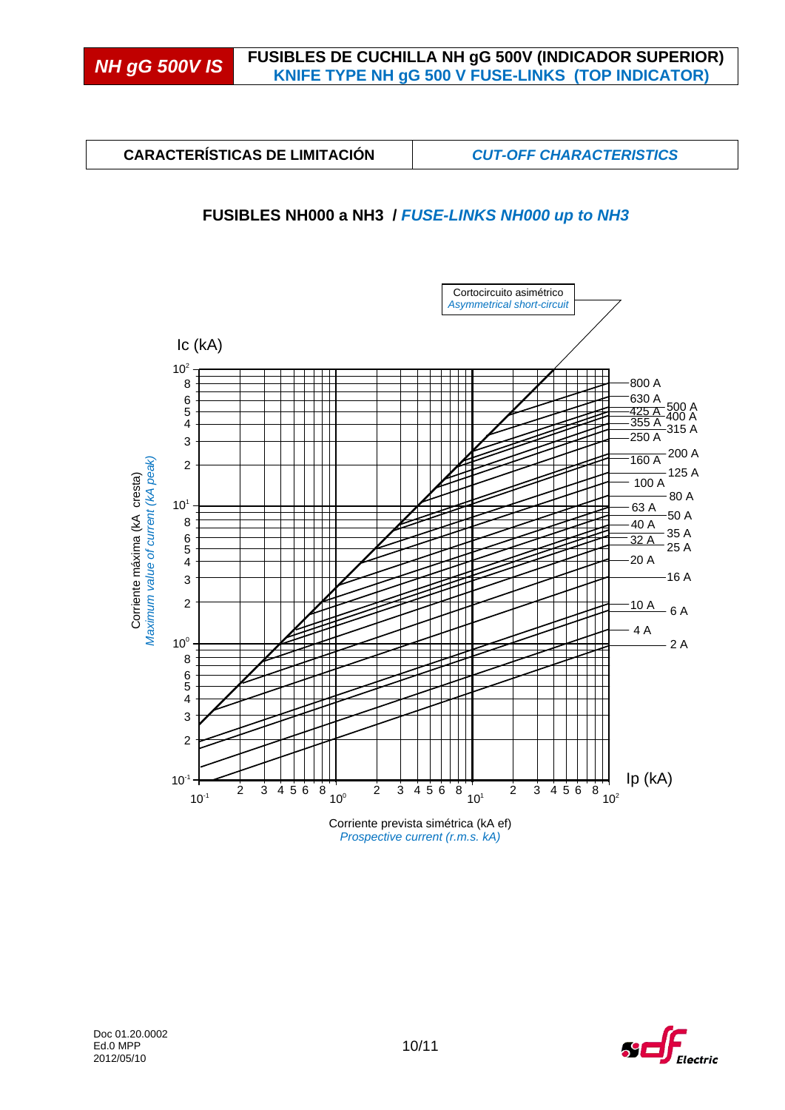**CARACTERÍSTICAS DE LIMITACIÓN** *CUT-OFF CHARACTERISTICS* 

### **FUSIBLES NH000 a NH3 /** *FUSE-LINKS NH000 up to NH3*